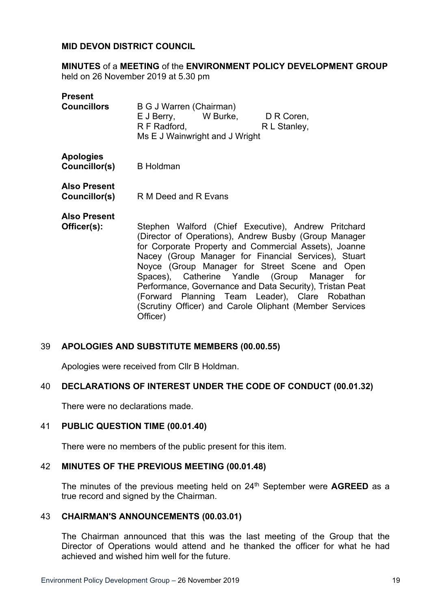#### **MID DEVON DISTRICT COUNCIL**

**MINUTES** of a **MEETING** of the **ENVIRONMENT POLICY DEVELOPMENT GROUP** held on 26 November 2019 at 5.30 pm

#### **Present**

| <b>Councillors</b> | B G J Warren (Chairman)        |          |              |
|--------------------|--------------------------------|----------|--------------|
|                    | E J Berry,                     | W Burke, | D R Coren,   |
|                    | R F Radford,                   |          | R L Stanley, |
|                    | Ms E J Wainwright and J Wright |          |              |

## **Apologies**

**Councillor(s)** B Holdman

**Also Present**

**Councillor(s)** R M Deed and R Evans

# **Also Present**

**Officer(s):** Stephen Walford (Chief Executive), Andrew Pritchard (Director of Operations), Andrew Busby (Group Manager for Corporate Property and Commercial Assets), Joanne Nacey (Group Manager for Financial Services), Stuart Noyce (Group Manager for Street Scene and Open Spaces), Catherine Yandle (Group Manager for Performance, Governance and Data Security), Tristan Peat (Forward Planning Team Leader), Clare Robathan (Scrutiny Officer) and Carole Oliphant (Member Services Officer)

## 39 **APOLOGIES AND SUBSTITUTE MEMBERS (00.00.55)**

Apologies were received from Cllr B Holdman.

## 40 **DECLARATIONS OF INTEREST UNDER THE CODE OF CONDUCT (00.01.32)**

There were no declarations made.

#### 41 **PUBLIC QUESTION TIME (00.01.40)**

There were no members of the public present for this item.

#### 42 **MINUTES OF THE PREVIOUS MEETING (00.01.48)**

The minutes of the previous meeting held on 24<sup>th</sup> September were **AGREED** as a true record and signed by the Chairman.

#### 43 **CHAIRMAN'S ANNOUNCEMENTS (00.03.01)**

The Chairman announced that this was the last meeting of the Group that the Director of Operations would attend and he thanked the officer for what he had achieved and wished him well for the future.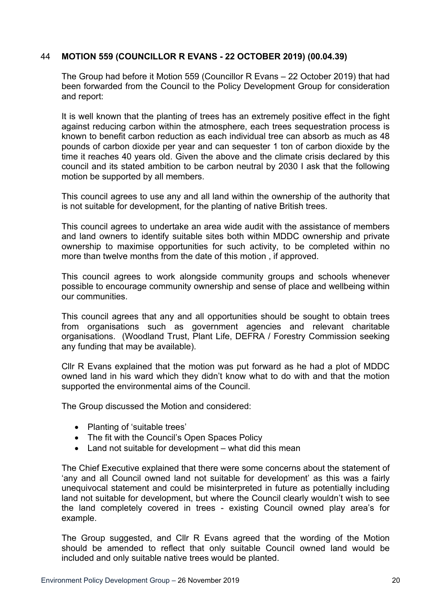# 44 **MOTION 559 (COUNCILLOR R EVANS - 22 OCTOBER 2019) (00.04.39)**

The Group had before it Motion 559 (Councillor R Evans – 22 October 2019) that had been forwarded from the Council to the Policy Development Group for consideration and report:

It is well known that the planting of trees has an extremely positive effect in the fight against reducing carbon within the atmosphere, each trees sequestration process is known to benefit carbon reduction as each individual tree can absorb as much as 48 pounds of carbon dioxide per year and can sequester 1 ton of carbon dioxide by the time it reaches 40 years old. Given the above and the climate crisis declared by this council and its stated ambition to be carbon neutral by 2030 I ask that the following motion be supported by all members.

This council agrees to use any and all land within the ownership of the authority that is not suitable for development, for the planting of native British trees.

This council agrees to undertake an area wide audit with the assistance of members and land owners to identify suitable sites both within MDDC ownership and private ownership to maximise opportunities for such activity, to be completed within no more than twelve months from the date of this motion , if approved.

This council agrees to work alongside community groups and schools whenever possible to encourage community ownership and sense of place and wellbeing within our communities.

This council agrees that any and all opportunities should be sought to obtain trees from organisations such as government agencies and relevant charitable organisations. (Woodland Trust, Plant Life, DEFRA / Forestry Commission seeking any funding that may be available).

Cllr R Evans explained that the motion was put forward as he had a plot of MDDC owned land in his ward which they didn't know what to do with and that the motion supported the environmental aims of the Council.

The Group discussed the Motion and considered:

- Planting of 'suitable trees'
- The fit with the Council's Open Spaces Policy
- Land not suitable for development what did this mean

The Chief Executive explained that there were some concerns about the statement of 'any and all Council owned land not suitable for development' as this was a fairly unequivocal statement and could be misinterpreted in future as potentially including land not suitable for development, but where the Council clearly wouldn't wish to see the land completely covered in trees - existing Council owned play area's for example.

The Group suggested, and Cllr R Evans agreed that the wording of the Motion should be amended to reflect that only suitable Council owned land would be included and only suitable native trees would be planted.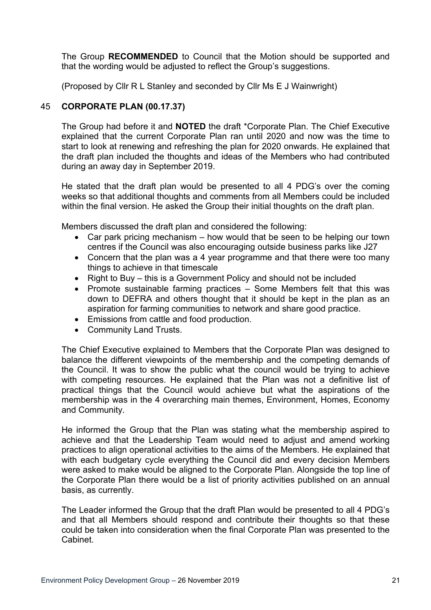The Group **RECOMMENDED** to Council that the Motion should be supported and that the wording would be adjusted to reflect the Group's suggestions.

(Proposed by Cllr R L Stanley and seconded by Cllr Ms E J Wainwright)

# 45 **CORPORATE PLAN (00.17.37)**

The Group had before it and **NOTED** the draft \*Corporate Plan. The Chief Executive explained that the current Corporate Plan ran until 2020 and now was the time to start to look at renewing and refreshing the plan for 2020 onwards. He explained that the draft plan included the thoughts and ideas of the Members who had contributed during an away day in September 2019.

He stated that the draft plan would be presented to all 4 PDG's over the coming weeks so that additional thoughts and comments from all Members could be included within the final version. He asked the Group their initial thoughts on the draft plan.

Members discussed the draft plan and considered the following:

- Car park pricing mechanism how would that be seen to be helping our town centres if the Council was also encouraging outside business parks like J27
- Concern that the plan was a 4 year programme and that there were too many things to achieve in that timescale
- Right to Buy this is a Government Policy and should not be included
- Promote sustainable farming practices Some Members felt that this was down to DEFRA and others thought that it should be kept in the plan as an aspiration for farming communities to network and share good practice.
- Emissions from cattle and food production.
- Community Land Trusts.

The Chief Executive explained to Members that the Corporate Plan was designed to balance the different viewpoints of the membership and the competing demands of the Council. It was to show the public what the council would be trying to achieve with competing resources. He explained that the Plan was not a definitive list of practical things that the Council would achieve but what the aspirations of the membership was in the 4 overarching main themes, Environment, Homes, Economy and Community.

He informed the Group that the Plan was stating what the membership aspired to achieve and that the Leadership Team would need to adjust and amend working practices to align operational activities to the aims of the Members. He explained that with each budgetary cycle everything the Council did and every decision Members were asked to make would be aligned to the Corporate Plan. Alongside the top line of the Corporate Plan there would be a list of priority activities published on an annual basis, as currently.

The Leader informed the Group that the draft Plan would be presented to all 4 PDG's and that all Members should respond and contribute their thoughts so that these could be taken into consideration when the final Corporate Plan was presented to the Cabinet.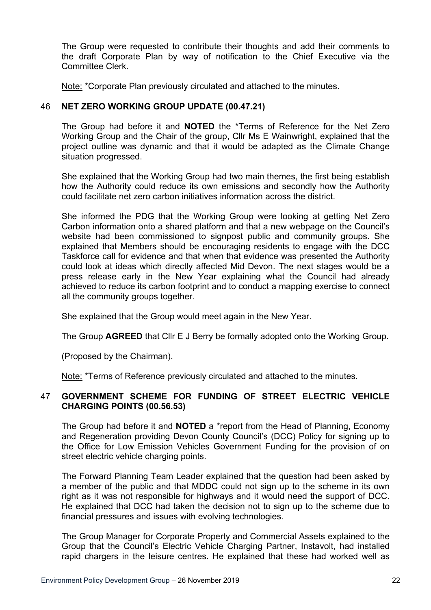The Group were requested to contribute their thoughts and add their comments to the draft Corporate Plan by way of notification to the Chief Executive via the Committee Clerk.

Note: \*Corporate Plan previously circulated and attached to the minutes.

## 46 **NET ZERO WORKING GROUP UPDATE (00.47.21)**

The Group had before it and **NOTED** the \*Terms of Reference for the Net Zero Working Group and the Chair of the group, Cllr Ms E Wainwright, explained that the project outline was dynamic and that it would be adapted as the Climate Change situation progressed.

She explained that the Working Group had two main themes, the first being establish how the Authority could reduce its own emissions and secondly how the Authority could facilitate net zero carbon initiatives information across the district.

She informed the PDG that the Working Group were looking at getting Net Zero Carbon information onto a shared platform and that a new webpage on the Council's website had been commissioned to signpost public and community groups. She explained that Members should be encouraging residents to engage with the DCC Taskforce call for evidence and that when that evidence was presented the Authority could look at ideas which directly affected Mid Devon. The next stages would be a press release early in the New Year explaining what the Council had already achieved to reduce its carbon footprint and to conduct a mapping exercise to connect all the community groups together.

She explained that the Group would meet again in the New Year.

The Group **AGREED** that Cllr E J Berry be formally adopted onto the Working Group.

(Proposed by the Chairman).

Note: \*Terms of Reference previously circulated and attached to the minutes.

# 47 **GOVERNMENT SCHEME FOR FUNDING OF STREET ELECTRIC VEHICLE CHARGING POINTS (00.56.53)**

The Group had before it and **NOTED** a \*report from the Head of Planning, Economy and Regeneration providing Devon County Council's (DCC) Policy for signing up to the Office for Low Emission Vehicles Government Funding for the provision of on street electric vehicle charging points.

The Forward Planning Team Leader explained that the question had been asked by a member of the public and that MDDC could not sign up to the scheme in its own right as it was not responsible for highways and it would need the support of DCC. He explained that DCC had taken the decision not to sign up to the scheme due to financial pressures and issues with evolving technologies.

The Group Manager for Corporate Property and Commercial Assets explained to the Group that the Council's Electric Vehicle Charging Partner, Instavolt, had installed rapid chargers in the leisure centres. He explained that these had worked well as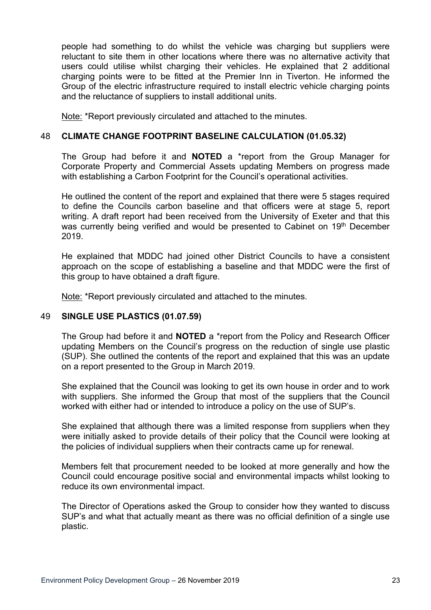people had something to do whilst the vehicle was charging but suppliers were reluctant to site them in other locations where there was no alternative activity that users could utilise whilst charging their vehicles. He explained that 2 additional charging points were to be fitted at the Premier Inn in Tiverton. He informed the Group of the electric infrastructure required to install electric vehicle charging points and the reluctance of suppliers to install additional units.

Note: \*Report previously circulated and attached to the minutes.

## 48 **CLIMATE CHANGE FOOTPRINT BASELINE CALCULATION (01.05.32)**

The Group had before it and **NOTED** a \*report from the Group Manager for Corporate Property and Commercial Assets updating Members on progress made with establishing a Carbon Footprint for the Council's operational activities.

He outlined the content of the report and explained that there were 5 stages required to define the Councils carbon baseline and that officers were at stage 5, report writing. A draft report had been received from the University of Exeter and that this was currently being verified and would be presented to Cabinet on 19<sup>th</sup> December 2019.

He explained that MDDC had joined other District Councils to have a consistent approach on the scope of establishing a baseline and that MDDC were the first of this group to have obtained a draft figure.

Note: \*Report previously circulated and attached to the minutes.

## 49 **SINGLE USE PLASTICS (01.07.59)**

The Group had before it and **NOTED** a \*report from the Policy and Research Officer updating Members on the Council's progress on the reduction of single use plastic (SUP). She outlined the contents of the report and explained that this was an update on a report presented to the Group in March 2019.

She explained that the Council was looking to get its own house in order and to work with suppliers. She informed the Group that most of the suppliers that the Council worked with either had or intended to introduce a policy on the use of SUP's.

She explained that although there was a limited response from suppliers when they were initially asked to provide details of their policy that the Council were looking at the policies of individual suppliers when their contracts came up for renewal.

Members felt that procurement needed to be looked at more generally and how the Council could encourage positive social and environmental impacts whilst looking to reduce its own environmental impact.

The Director of Operations asked the Group to consider how they wanted to discuss SUP's and what that actually meant as there was no official definition of a single use plastic.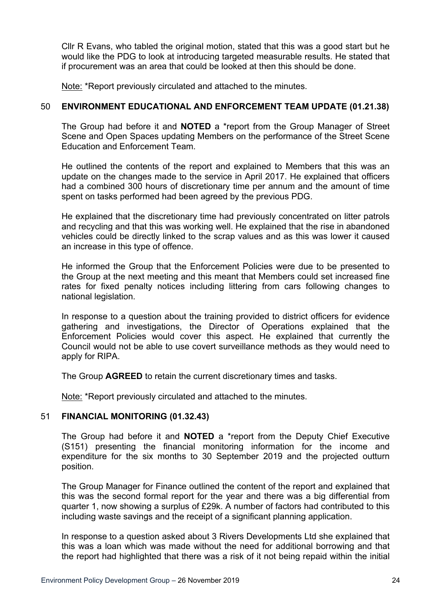Cllr R Evans, who tabled the original motion, stated that this was a good start but he would like the PDG to look at introducing targeted measurable results. He stated that if procurement was an area that could be looked at then this should be done.

Note: \*Report previously circulated and attached to the minutes.

# 50 **ENVIRONMENT EDUCATIONAL AND ENFORCEMENT TEAM UPDATE (01.21.38)**

The Group had before it and **NOTED** a \*report from the Group Manager of Street Scene and Open Spaces updating Members on the performance of the Street Scene Education and Enforcement Team.

He outlined the contents of the report and explained to Members that this was an update on the changes made to the service in April 2017. He explained that officers had a combined 300 hours of discretionary time per annum and the amount of time spent on tasks performed had been agreed by the previous PDG.

He explained that the discretionary time had previously concentrated on litter patrols and recycling and that this was working well. He explained that the rise in abandoned vehicles could be directly linked to the scrap values and as this was lower it caused an increase in this type of offence.

He informed the Group that the Enforcement Policies were due to be presented to the Group at the next meeting and this meant that Members could set increased fine rates for fixed penalty notices including littering from cars following changes to national legislation.

In response to a question about the training provided to district officers for evidence gathering and investigations, the Director of Operations explained that the Enforcement Policies would cover this aspect. He explained that currently the Council would not be able to use covert surveillance methods as they would need to apply for RIPA.

The Group **AGREED** to retain the current discretionary times and tasks.

Note: \*Report previously circulated and attached to the minutes.

# 51 **FINANCIAL MONITORING (01.32.43)**

The Group had before it and **NOTED** a \*report from the Deputy Chief Executive (S151) presenting the financial monitoring information for the income and expenditure for the six months to 30 September 2019 and the projected outturn position.

The Group Manager for Finance outlined the content of the report and explained that this was the second formal report for the year and there was a big differential from quarter 1, now showing a surplus of £29k. A number of factors had contributed to this including waste savings and the receipt of a significant planning application.

In response to a question asked about 3 Rivers Developments Ltd she explained that this was a loan which was made without the need for additional borrowing and that the report had highlighted that there was a risk of it not being repaid within the initial